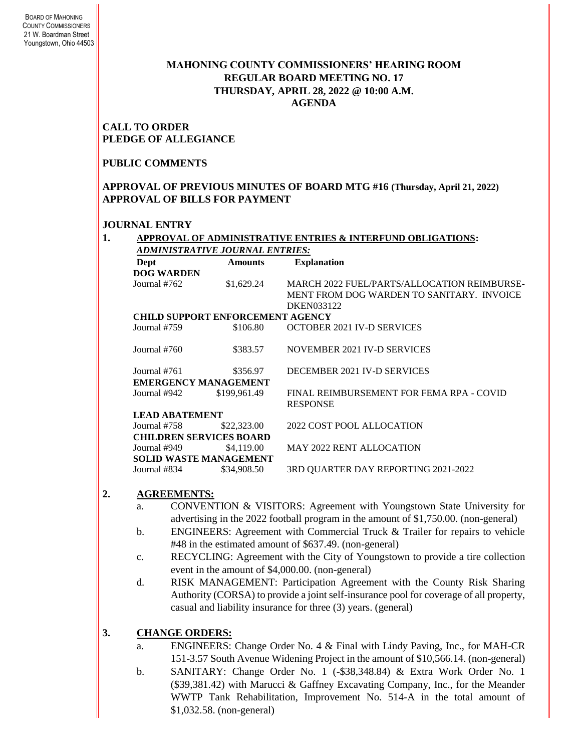### **MAHONING COUNTY COMMISSIONERS' HEARING ROOM REGULAR BOARD MEETING NO. 17 THURSDAY***,* **APRIL 28, 2022 @ 10:00 A.M. AGENDA**

#### **CALL TO ORDER PLEDGE OF ALLEGIANCE**

### **PUBLIC COMMENTS**

### **APPROVAL OF PREVIOUS MINUTES OF BOARD MTG #16 (Thursday, April 21, 2022) APPROVAL OF BILLS FOR PAYMENT**

#### **JOURNAL ENTRY**

**1. APPROVAL OF ADMINISTRATIVE ENTRIES & INTERFUND OBLIGATIONS:**  *ADMINISTRATIVE JOURNAL ENTRIES:*

| Dept                                    | <b>Amounts</b> | <b>Explanation</b>                                          |  |  |  |
|-----------------------------------------|----------------|-------------------------------------------------------------|--|--|--|
| <b>DOG WARDEN</b>                       |                |                                                             |  |  |  |
| Journal #762                            | \$1,629.24     | MARCH 2022 FUEL/PARTS/ALLOCATION REIMBURSE-                 |  |  |  |
|                                         |                | MENT FROM DOG WARDEN TO SANITARY. INVOICE                   |  |  |  |
|                                         |                | DKEN033122                                                  |  |  |  |
| <b>CHILD SUPPORT ENFORCEMENT AGENCY</b> |                |                                                             |  |  |  |
| Journal #759                            | \$106.80       | OCTOBER 2021 IV-D SERVICES                                  |  |  |  |
| Journal #760                            | \$383.57       | NOVEMBER 2021 IV-D SERVICES                                 |  |  |  |
| Journal #761                            | \$356.97       | DECEMBER 2021 IV-D SERVICES                                 |  |  |  |
| <b>EMERGENCY MANAGEMENT</b>             |                |                                                             |  |  |  |
| Journal #942                            | \$199,961.49   | FINAL REIMBURSEMENT FOR FEMA RPA - COVID<br><b>RESPONSE</b> |  |  |  |
| <b>LEAD ABATEMENT</b>                   |                |                                                             |  |  |  |
| Journal #758                            | \$22,323.00    | 2022 COST POOL ALLOCATION                                   |  |  |  |
| <b>CHILDREN SERVICES BOARD</b>          |                |                                                             |  |  |  |
| Journal #949                            | \$4,119.00     | <b>MAY 2022 RENT ALLOCATION</b>                             |  |  |  |
| <b>SOLID WASTE MANAGEMENT</b>           |                |                                                             |  |  |  |
| Journal #834                            | \$34,908.50    | 3RD QUARTER DAY REPORTING 2021-2022                         |  |  |  |

### **2. AGREEMENTS:**

- a. CONVENTION & VISITORS: Agreement with Youngstown State University for advertising in the 2022 football program in the amount of \$1,750.00. (non-general)
- b. ENGINEERS: Agreement with Commercial Truck & Trailer for repairs to vehicle #48 in the estimated amount of \$637.49. (non-general)
- c. RECYCLING: Agreement with the City of Youngstown to provide a tire collection event in the amount of \$4,000.00. (non-general)
- d. RISK MANAGEMENT: Participation Agreement with the County Risk Sharing Authority (CORSA) to provide a joint self-insurance pool for coverage of all property, casual and liability insurance for three (3) years. (general)

### **3. CHANGE ORDERS:**

- a. ENGINEERS: Change Order No. 4 & Final with Lindy Paving, Inc., for MAH-CR 151-3.57 South Avenue Widening Project in the amount of \$10,566.14. (non-general)
- b. SANITARY: Change Order No. 1 (-\$38,348.84) & Extra Work Order No. 1 (\$39,381.42) with Marucci & Gaffney Excavating Company, Inc., for the Meander WWTP Tank Rehabilitation, Improvement No. 514-A in the total amount of \$1,032.58. (non-general)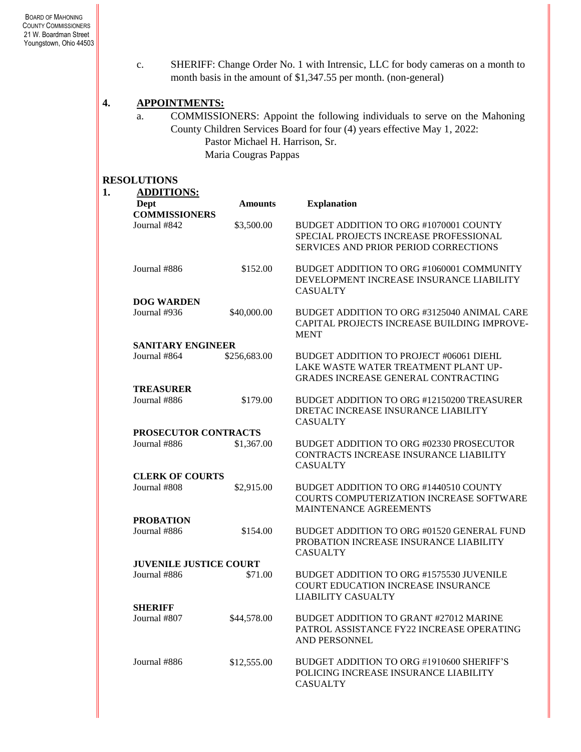c. SHERIFF: Change Order No. 1 with Intrensic, LLC for body cameras on a month to month basis in the amount of \$1,347.55 per month. (non-general)

#### **4. APPOINTMENTS:**

a. COMMISSIONERS: Appoint the following individuals to serve on the Mahoning County Children Services Board for four (4) years effective May 1, 2022: Pastor Michael H. Harrison, Sr. Maria Cougras Pappas

#### **RESOLUTIONS**

| Dept                          | <b>Amounts</b> | <b>Explanation</b>                                                                                                            |
|-------------------------------|----------------|-------------------------------------------------------------------------------------------------------------------------------|
| <b>COMMISSIONERS</b>          |                |                                                                                                                               |
| Journal #842                  | \$3,500.00     | BUDGET ADDITION TO ORG #1070001 COUNTY<br>SPECIAL PROJECTS INCREASE PROFESSIONAL<br>SERVICES AND PRIOR PERIOD CORRECTIONS     |
| Journal #886                  | \$152.00       | BUDGET ADDITION TO ORG #1060001 COMMUNITY<br>DEVELOPMENT INCREASE INSURANCE LIABILITY<br><b>CASUALTY</b>                      |
| <b>DOG WARDEN</b>             |                |                                                                                                                               |
| Journal #936                  | \$40,000.00    | BUDGET ADDITION TO ORG #3125040 ANIMAL CARE<br>CAPITAL PROJECTS INCREASE BUILDING IMPROVE-<br><b>MENT</b>                     |
| <b>SANITARY ENGINEER</b>      |                |                                                                                                                               |
| Journal #864                  | \$256,683.00   | BUDGET ADDITION TO PROJECT #06061 DIEHL<br>LAKE WASTE WATER TREATMENT PLANT UP-<br><b>GRADES INCREASE GENERAL CONTRACTING</b> |
| <b>TREASURER</b>              |                |                                                                                                                               |
| Journal #886                  | \$179.00       | BUDGET ADDITION TO ORG #12150200 TREASURER<br>DRETAC INCREASE INSURANCE LIABILITY<br><b>CASUALTY</b>                          |
| PROSECUTOR CONTRACTS          |                |                                                                                                                               |
| Journal #886                  | \$1,367.00     | BUDGET ADDITION TO ORG #02330 PROSECUTOR<br>CONTRACTS INCREASE INSURANCE LIABILITY<br><b>CASUALTY</b>                         |
| <b>CLERK OF COURTS</b>        |                |                                                                                                                               |
| Journal #808                  | \$2,915.00     | BUDGET ADDITION TO ORG #1440510 COUNTY<br>COURTS COMPUTERIZATION INCREASE SOFTWARE<br>MAINTENANCE AGREEMENTS                  |
| <b>PROBATION</b>              |                |                                                                                                                               |
| Journal #886                  | \$154.00       | BUDGET ADDITION TO ORG #01520 GENERAL FUND<br>PROBATION INCREASE INSURANCE LIABILITY<br><b>CASUALTY</b>                       |
| <b>JUVENILE JUSTICE COURT</b> |                |                                                                                                                               |
| Journal #886                  | \$71.00        | BUDGET ADDITION TO ORG #1575530 JUVENILE<br><b>COURT EDUCATION INCREASE INSURANCE</b><br>LIABILITY CASUALTY                   |
| <b>SHERIFF</b>                |                |                                                                                                                               |
| Journal #807                  | \$44,578.00    | BUDGET ADDITION TO GRANT #27012 MARINE<br>PATROL ASSISTANCE FY22 INCREASE OPERATING<br>AND PERSONNEL                          |
| Journal #886                  | \$12,555.00    | BUDGET ADDITION TO ORG #1910600 SHERIFF'S<br>POLICING INCREASE INSURANCE LIABILITY<br><b>CASUALTY</b>                         |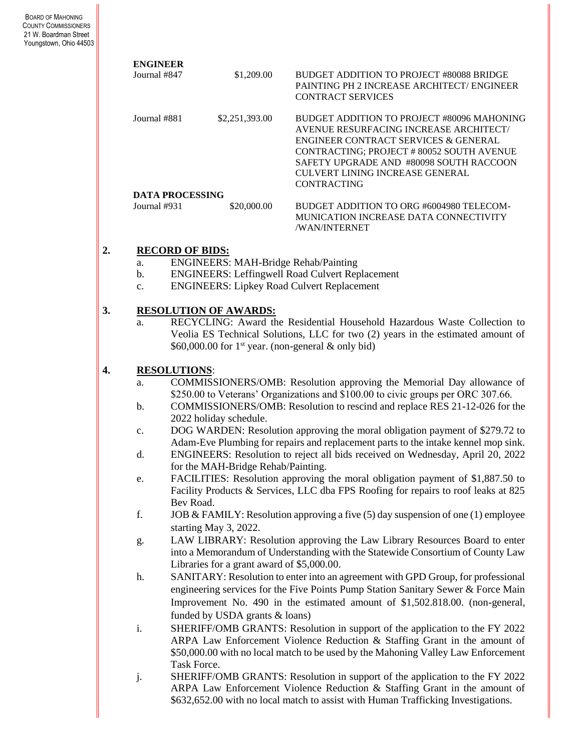| <b>ENGINEER</b>        |                |                                                                                                    |
|------------------------|----------------|----------------------------------------------------------------------------------------------------|
| Journal #847           | \$1,209.00     | BUDGET ADDITION TO PROJECT #80088 BRIDGE<br><b>PAINTING PH 2 INCREASE ARCHITECT/ ENGINEER</b>      |
|                        |                | <b>CONTRACT SERVICES</b>                                                                           |
| Journal #881           | \$2,251,393.00 | BUDGET ADDITION TO PROJECT #80096 MAHONING                                                         |
|                        |                | AVENUE RESURFACING INCREASE ARCHITECT/                                                             |
|                        |                | ENGINEER CONTRACT SERVICES & GENERAL                                                               |
|                        |                | CONTRACTING; PROJECT # 80052 SOUTH AVENUE                                                          |
|                        |                | SAFETY UPGRADE AND #80098 SOUTH RACCOON                                                            |
|                        |                | CULVERT LINING INCREASE GENERAL                                                                    |
|                        |                | CONTRACTING                                                                                        |
| <b>DATA PROCESSING</b> |                |                                                                                                    |
| Journal #931           | \$20,000.00    | BUDGET ADDITION TO ORG #6004980 TELECOM-<br>MUNICATION INCREASE DATA CONNECTIVITY<br>/WAN/INTERNET |
|                        |                |                                                                                                    |

## **2. RECORD OF BIDS:**

- a. ENGINEERS: MAH-Bridge Rehab/Painting
- b. ENGINEERS: Leffingwell Road Culvert Replacement
- c. ENGINEERS: Lipkey Road Culvert Replacement

### **3. RESOLUTION OF AWARDS:**

a. RECYCLING: Award the Residential Household Hazardous Waste Collection to Veolia ES Technical Solutions, LLC for two (2) years in the estimated amount of \$60,000.00 for 1<sup>st</sup> year. (non-general  $\&$  only bid)

## **4. RESOLUTIONS**:

- a. COMMISSIONERS/OMB: Resolution approving the Memorial Day allowance of \$250.00 to Veterans' Organizations and \$100.00 to civic groups per ORC 307.66.
- b. COMMISSIONERS/OMB: Resolution to rescind and replace RES 21-12-026 for the 2022 holiday schedule.
- c. DOG WARDEN: Resolution approving the moral obligation payment of \$279.72 to Adam-Eve Plumbing for repairs and replacement parts to the intake kennel mop sink.
- d. ENGINEERS: Resolution to reject all bids received on Wednesday, April 20, 2022 for the MAH-Bridge Rehab/Painting.
- e. FACILITIES: Resolution approving the moral obligation payment of \$1,887.50 to Facility Products & Services, LLC dba FPS Roofing for repairs to roof leaks at 825 Bev Road.
- f. JOB & FAMILY: Resolution approving a five (5) day suspension of one (1) employee starting May 3, 2022.
- g. LAW LIBRARY: Resolution approving the Law Library Resources Board to enter into a Memorandum of Understanding with the Statewide Consortium of County Law Libraries for a grant award of \$5,000.00.
- h. SANITARY: Resolution to enter into an agreement with GPD Group, for professional engineering services for the Five Points Pump Station Sanitary Sewer & Force Main Improvement No. 490 in the estimated amount of \$1,502.818.00. (non-general, funded by USDA grants & loans)
- i. SHERIFF/OMB GRANTS: Resolution in support of the application to the FY 2022 ARPA Law Enforcement Violence Reduction & Staffing Grant in the amount of \$50,000.00 with no local match to be used by the Mahoning Valley Law Enforcement Task Force.
- j. SHERIFF/OMB GRANTS: Resolution in support of the application to the FY 2022 ARPA Law Enforcement Violence Reduction & Staffing Grant in the amount of \$632,652.00 with no local match to assist with Human Trafficking Investigations.